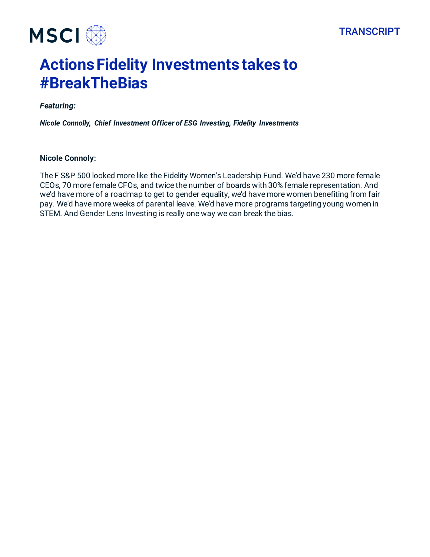



## **Actions Fidelity Investments takes to #BreakTheBias**

## *Featuring:*

*Nicole Connolly, Chief Investment Officer of ESG Investing, Fidelity Investments*

## **Nicole Connoly:**

The F S&P 500 looked more like the Fidelity Women's Leadership Fund. We'd have 230 more female CEOs, 70 more female CFOs, and twice the number of boards with 30% female representation. And we'd have more of a roadmap to get to gender equality, we'd have more women benefiting from fair pay. We'd have more weeks of parental leave. We'd have more programs targeting young women in STEM. And Gender Lens Investing is really one way we can break the bias.